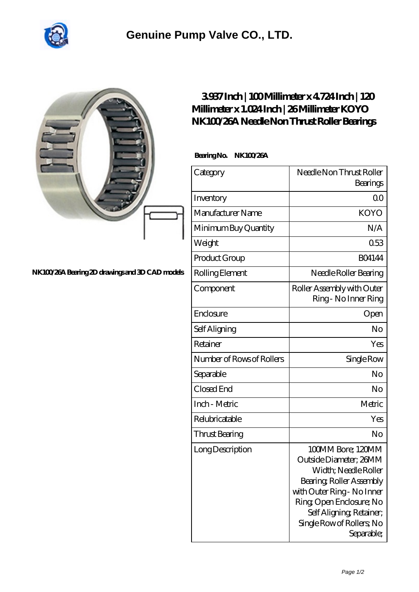

|                                                 | 3937Inch   100Millimeter x 4724Inch   120<br>Millimeter x 1.024 Inch   26 Millimeter KOYO<br>NK100/26A Needle Non Thrust Roller Bearings |                                                                                                                                                                                                                                 |
|-------------------------------------------------|------------------------------------------------------------------------------------------------------------------------------------------|---------------------------------------------------------------------------------------------------------------------------------------------------------------------------------------------------------------------------------|
|                                                 | BearingNo.<br><b>NK100/26A</b>                                                                                                           |                                                                                                                                                                                                                                 |
|                                                 | Category                                                                                                                                 | Needle Non Thrust Roller<br>Bearings                                                                                                                                                                                            |
|                                                 | Inventory                                                                                                                                | 0 <sup>0</sup>                                                                                                                                                                                                                  |
|                                                 | Manufacturer Name                                                                                                                        | <b>KOYO</b>                                                                                                                                                                                                                     |
|                                                 | Minimum Buy Quantity                                                                                                                     | N/A                                                                                                                                                                                                                             |
|                                                 | Weight                                                                                                                                   | 053                                                                                                                                                                                                                             |
|                                                 | Product Group                                                                                                                            | <b>BO4144</b>                                                                                                                                                                                                                   |
| NK100/26A Bearing 2D drawings and 3D CAD models | Rolling Element                                                                                                                          | Needle Roller Bearing                                                                                                                                                                                                           |
|                                                 | Component                                                                                                                                | Roller Assembly with Outer<br>Ring - No Inner Ring                                                                                                                                                                              |
|                                                 | Enclosure                                                                                                                                | Open                                                                                                                                                                                                                            |
|                                                 | Self Aligning                                                                                                                            | No                                                                                                                                                                                                                              |
|                                                 | Retainer                                                                                                                                 | Yes                                                                                                                                                                                                                             |
|                                                 | Number of Rows of Rollers                                                                                                                | Single Row                                                                                                                                                                                                                      |
|                                                 | Separable                                                                                                                                | N <sub>o</sub>                                                                                                                                                                                                                  |
|                                                 | Closed End                                                                                                                               | No                                                                                                                                                                                                                              |
|                                                 | Inch - Metric                                                                                                                            | Metric                                                                                                                                                                                                                          |
|                                                 | Relubricatable                                                                                                                           | Yes                                                                                                                                                                                                                             |
|                                                 | Thrust Bearing                                                                                                                           | No                                                                                                                                                                                                                              |
|                                                 | Long Description                                                                                                                         | 100MM Bore; 120MM<br>Outside Diameter; 26MM<br>Width; Needle Roller<br>Bearing, Roller Assembly<br>with Outer Ring - No Inner<br>Ring Open Enclosure; No<br>Self Aligning, Retainer,<br>Single Row of Rollers, No<br>Separable; |